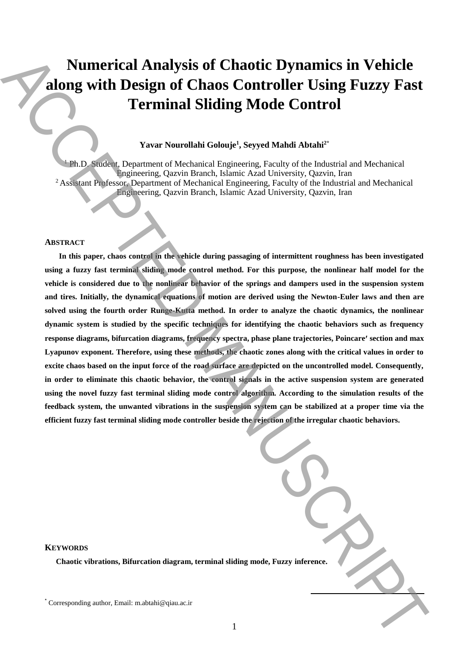# **Numerical Analysis of Chaotic Dynamics in Vehicle along with Design of Chaos Controller Using Fuzzy Fast Terminal Sliding Mode Control**

## **Yavar Nourollahi Golouje<sup>1</sup> , Seyyed Mahdi Abtahi2\***

<sup>1</sup> Ph.D. Student, Department of Mechanical Engineering, Faculty of the Industrial and Mechanical Engineering, Qazvin Branch, Islamic Azad University, Qazvin, Iran <sup>2</sup> Assistant Professor, Department of Mechanical Engineering, Faculty of the Industrial and Mechanical Engineering, Qazvin Branch, Islamic Azad University, Qazvin, Iran

#### **ABSTRACT**

**In this paper, chaos control in the vehicle during passaging of intermittent roughness has been investigated using a fuzzy fast terminal sliding mode control method. For this purpose, the nonlinear half model for the vehicle is considered due to the nonlinear behavior of the springs and dampers used in the suspension system and tires. Initially, the dynamical equations of motion are derived using the Newton-Euler laws and then are solved using the fourth order Runge-Kutta method. In order to analyze the chaotic dynamics, the nonlinear dynamic system is studied by the specific techniques for identifying the chaotic behaviors such as frequency response diagrams, bifurcation diagrams, frequency spectra, phase plane trajectories, Poincare section and max Lyapunov exponent. Therefore, using these methods, the chaotic zones along with the critical values in order to excite chaos based on the input force of the road surface are depicted on the uncontrolled model. Consequently, in order to eliminate this chaotic behavior, the control signals in the active suspension system are generated**  using the novel fuzzy fast terminal sliding mode control algorithm. According to the simulation results of the **feedback system, the unwanted vibrations in the suspension system can be stabilized at a proper time via the efficient fuzzy fast terminal sliding mode controller beside the rejection of the irregular chaotic behaviors. Numerical Analysis of Chaotic Dynamics in Vehicle<br>
along with Design of Chaos Controller Using Fuzzy Fast<br>
Terminal Silding Mode Control<br>
Yara-Namulaki Galangi, Sayyet Mahal Ahala<sup>n-</sup><br>
Yara-Namulaki Galangi, Sayyet Mahal** 

| ng mode, Fuzzy inference. |  |
|---------------------------|--|

#### **KEYWORDS**

**Chaotic vibrations, Bifurcation diagram, terminal sliding model.**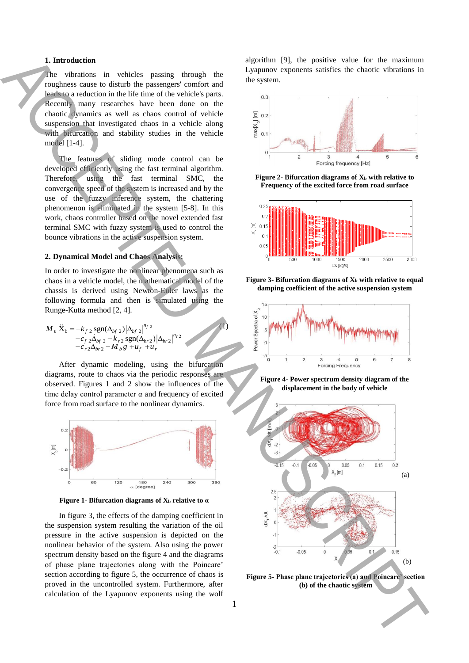#### **1. Introduction**

The vibrations in vehicles passing through the roughness cause to disturb the passengers' comfort and leads to a reduction in the life time of the vehicle's parts. Recently many researches have been done on the chaotic dynamics as well as chaos control of vehicle suspension that investigated chaos in a vehicle along with bifurcation and stability studies in the vehicle model [1-4].

The features of sliding mode control can be developed efficiently using the fast terminal algorithm. Therefore, using the fast terminal SMC, the convergence speed of the system is increased and by the use of the fuzzy inference system, the chattering phenomenon is eliminated in the system [5-8]. In this work, chaos controller based on the novel extended fast terminal SMC with fuzzy system is used to control the bounce vibrations in the active suspension system.

#### **2. Dynamical Model and Chaos Analysis:**

In order to investigate the nonlinear phenomena such as chaos in a vehicle model, the mathematical model of the chassis is derived using Newton-Euler laws as the following formula and then is simulated using the Runge-Kutta method [2, 4].

$$
M_{b} \ddot{X}_{b} = -k_{f2} \operatorname{sgn}(\Delta_{bf2}) |\Delta_{bf2}|^{n_{f2}} -c_{f2} \Delta_{bf2} - k_{r2} \operatorname{sgn}(\Delta_{br2}) |\Delta_{br2}|^{n_{r2}} -c_{r2} \Delta_{br2} - M_{b}g + u_{f} + u_{r}
$$

After dynamic modeling, using the bifurcation diagrams, route to chaos via the periodic responses are observed. Figures 1 and 2 show the influences of the time delay control parameter  $\alpha$  and frequency of excited force from road surface to the nonlinear dynamics.



**Figure 1- Bifurcation diagrams of X<sup>b</sup> relative to α**

In figure 3, the effects of the damping coefficient in the suspension system resulting the variation of the oil pressure in the active suspension is depicted on the nonlinear behavior of the system. Also using the power spectrum density based on the figure 4 and the diagrams of phase plane trajectories along with the Poincare' section according to figure 5, the occurrence of chaos is proved in the uncontrolled system. Furthermore, after calculation of the Lyapunov exponents using the wolf algorithm [9], the positive value for the maximum Lyapunov exponents satisfies the chaotic vibrations in the system.



**Figure 2- Bifurcation diagrams of**  $X_b$  **with relative to Frequency of the excited force from road surface**



**Figure 3- Bifurcation diagrams of X<sup>b</sup> with relative to equal damping coefficient of the active suspension system**







**Figure 5- Phase plane trajectories (a) and Poincare' section** 

(1)